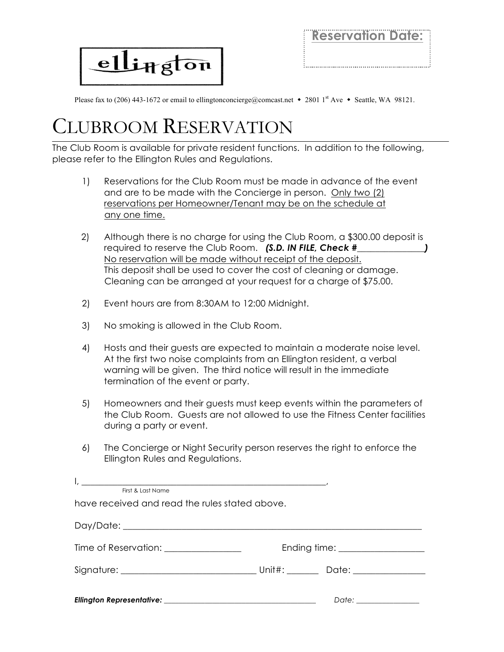

**Reservation Date:** 

Please fax to (206) 443-1672 or email to ellingtonconcierge@comcast.net • 2801 1st Ave • Seattle, WA 98121.

## CLUBROOM RESERVATION

The Club Room is available for private resident functions. In addition to the following, please refer to the Ellington Rules and Regulations.

- 1) Reservations for the Club Room must be made in advance of the event and are to be made with the Concierge in person. Only two (2) reservations per Homeowner/Tenant may be on the schedule at any one time.
- 2) Although there is no charge for using the Club Room, a \$300.00 deposit is required to reserve the Club Room. *(S.D. IN FILE, Check #\_\_\_\_\_\_\_\_\_\_\_\_\_\_\_)* No reservation will be made without receipt of the deposit. This deposit shall be used to cover the cost of cleaning or damage. Cleaning can be arranged at your request for a charge of \$75.00.
- 2) Event hours are from 8:30AM to 12:00 Midnight.
- 3) No smoking is allowed in the Club Room.
- 4) Hosts and their guests are expected to maintain a moderate noise level. At the first two noise complaints from an Ellington resident, a verbal warning will be given. The third notice will result in the immediate termination of the event or party.
- 5) Homeowners and their guests must keep events within the parameters of the Club Room. Guests are not allowed to use the Fitness Center facilities during a party or event.
- 6) The Concierge or Night Security person reserves the right to enforce the Ellington Rules and Regulations.

| First & Last Name<br>have received and read the rules stated above. |                                   |
|---------------------------------------------------------------------|-----------------------------------|
|                                                                     |                                   |
|                                                                     |                                   |
| Time of Reservation: _________________                              | Ending time: ____________________ |
|                                                                     |                                   |
|                                                                     |                                   |